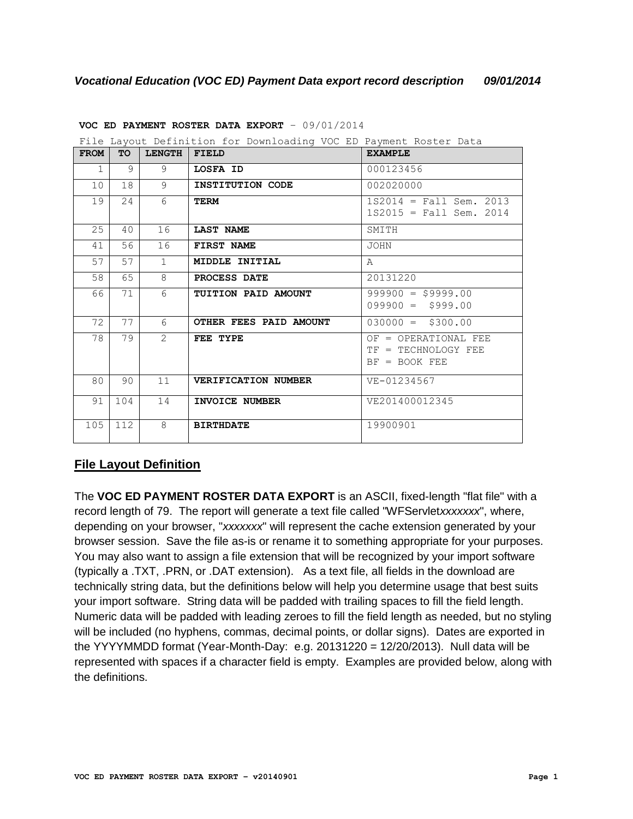|             |           |                 | File Layout Definition for Downloading VOC ED Payment Roster Data |                                                                |
|-------------|-----------|-----------------|-------------------------------------------------------------------|----------------------------------------------------------------|
| <b>FROM</b> | <b>TO</b> | <b>LENGTH</b>   | <b>FIELD</b>                                                      | <b>EXAMPLE</b>                                                 |
| 1           | 9         | 9               | LOSFA ID                                                          | 000123456                                                      |
| 10          | 18        | 9               | INSTITUTION CODE                                                  | 002020000                                                      |
| 19          | 24        | 6               | <b>TERM</b>                                                       | $1S2014 = Fall Sem. 2013$<br>$1S2015 = Fall Sem. 2014$         |
| 25          | 40        | 16              | <b>LAST NAME</b>                                                  | SMITH                                                          |
| 41          | 56        | 16              | FIRST NAME                                                        | <b>JOHN</b>                                                    |
| 57          | 57        | $\mathbf{1}$    | MIDDLE INITIAL                                                    | A                                                              |
| 58          | 65        | 8               | PROCESS DATE                                                      | 20131220                                                       |
| 66          | 71        | $6\overline{6}$ | TUITION PAID AMOUNT                                               | $999900 = $9999.00$<br>$099900 = $999.00$                      |
| 72          | 77        | 6               | OTHER FEES PAID AMOUNT                                            | $030000 = $300.00$                                             |
| 78          | 79        | $\mathcal{L}$   | FEE TYPE                                                          | OF = OPERATIONAL FEE<br>TF = TECHNOLOGY FEE<br>$BF = BOOK FEE$ |
| 80          | 90        | 11              | <b>VERIFICATION NUMBER</b>                                        | VE-01234567                                                    |
| 91          | 104       | 14              | INVOICE NUMBER                                                    | VE201400012345                                                 |
| 105         | 112       | 8               | <b>BIRTHDATE</b>                                                  | 19900901                                                       |

**VOC ED PAYMENT ROSTER DATA EXPORT** – 09/01/2014

# **File Layout Definition**

The **VOC ED PAYMENT ROSTER DATA EXPORT** is an ASCII, fixed-length "flat file" with a record length of 79. The report will generate a text file called "WFServlet*xxxxxxx*", where, depending on your browser, "*xxxxxxx*" will represent the cache extension generated by your browser session. Save the file as-is or rename it to something appropriate for your purposes. You may also want to assign a file extension that will be recognized by your import software (typically a .TXT, .PRN, or .DAT extension). As a text file, all fields in the download are technically string data, but the definitions below will help you determine usage that best suits your import software. String data will be padded with trailing spaces to fill the field length. Numeric data will be padded with leading zeroes to fill the field length as needed, but no styling will be included (no hyphens, commas, decimal points, or dollar signs). Dates are exported in the YYYYMMDD format (Year-Month-Day: e.g.  $20131220 = 12/20/2013$ ). Null data will be represented with spaces if a character field is empty. Examples are provided below, along with the definitions.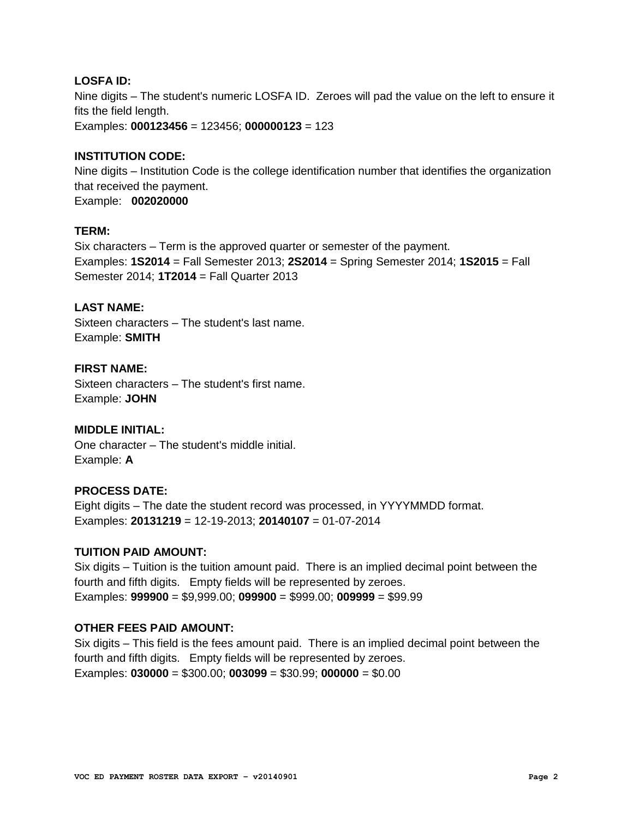## **LOSFA ID:**

Nine digits – The student's numeric LOSFA ID. Zeroes will pad the value on the left to ensure it fits the field length.

Examples: **000123456** = 123456; **000000123** = 123

## **INSTITUTION CODE:**

Nine digits – Institution Code is the college identification number that identifies the organization that received the payment. Example: **002020000**

# **TERM:**

Six characters – Term is the approved quarter or semester of the payment. Examples: **1S2014** = Fall Semester 2013; **2S2014** = Spring Semester 2014; **1S2015** = Fall Semester 2014; **1T2014** = Fall Quarter 2013

## **LAST NAME:**

Sixteen characters – The student's last name. Example: **SMITH**

## **FIRST NAME:**

Sixteen characters – The student's first name. Example: **JOHN**

#### **MIDDLE INITIAL:**

One character – The student's middle initial. Example: **A**

## **PROCESS DATE:**

Eight digits – The date the student record was processed, in YYYYMMDD format. Examples: **20131219** = 12-19-2013; **20140107** = 01-07-2014

## **TUITION PAID AMOUNT:**

Six digits – Tuition is the tuition amount paid. There is an implied decimal point between the fourth and fifth digits. Empty fields will be represented by zeroes. Examples: **999900** = \$9,999.00; **099900** = \$999.00; **009999** = \$99.99

#### **OTHER FEES PAID AMOUNT:**

Six digits – This field is the fees amount paid. There is an implied decimal point between the fourth and fifth digits. Empty fields will be represented by zeroes. Examples: **030000** = \$300.00; **003099** = \$30.99; **000000** = \$0.00